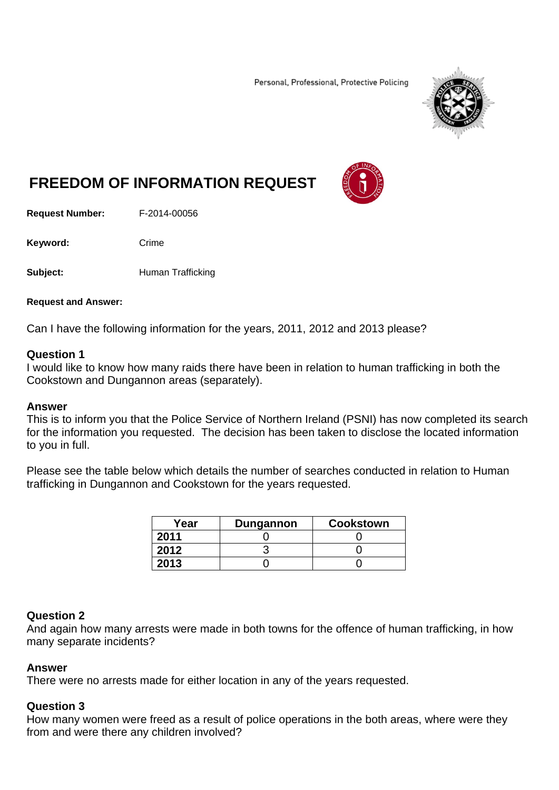Personal, Professional, Protective Policing



# **FREEDOM OF INFORMATION REQUEST**

**Request Number:** F-2014-00056

Keyword: Crime

**Subject: Human Trafficking** 

#### **Request and Answer:**

Can I have the following information for the years, 2011, 2012 and 2013 please?

### **Question 1**

I would like to know how many raids there have been in relation to human trafficking in both the Cookstown and Dungannon areas (separately).

#### **Answer**

This is to inform you that the Police Service of Northern Ireland (PSNI) has now completed its search for the information you requested. The decision has been taken to disclose the located information to you in full.

Please see the table below which details the number of searches conducted in relation to Human trafficking in Dungannon and Cookstown for the years requested.

| Year | <b>Dungannon</b> | <b>Cookstown</b> |
|------|------------------|------------------|
| 2011 |                  |                  |
| 2012 |                  |                  |
| 2013 |                  |                  |

# **Question 2**

And again how many arrests were made in both towns for the offence of human trafficking, in how many separate incidents?

#### **Answer**

There were no arrests made for either location in any of the years requested.

# **Question 3**

How many women were freed as a result of police operations in the both areas, where were they from and were there any children involved?